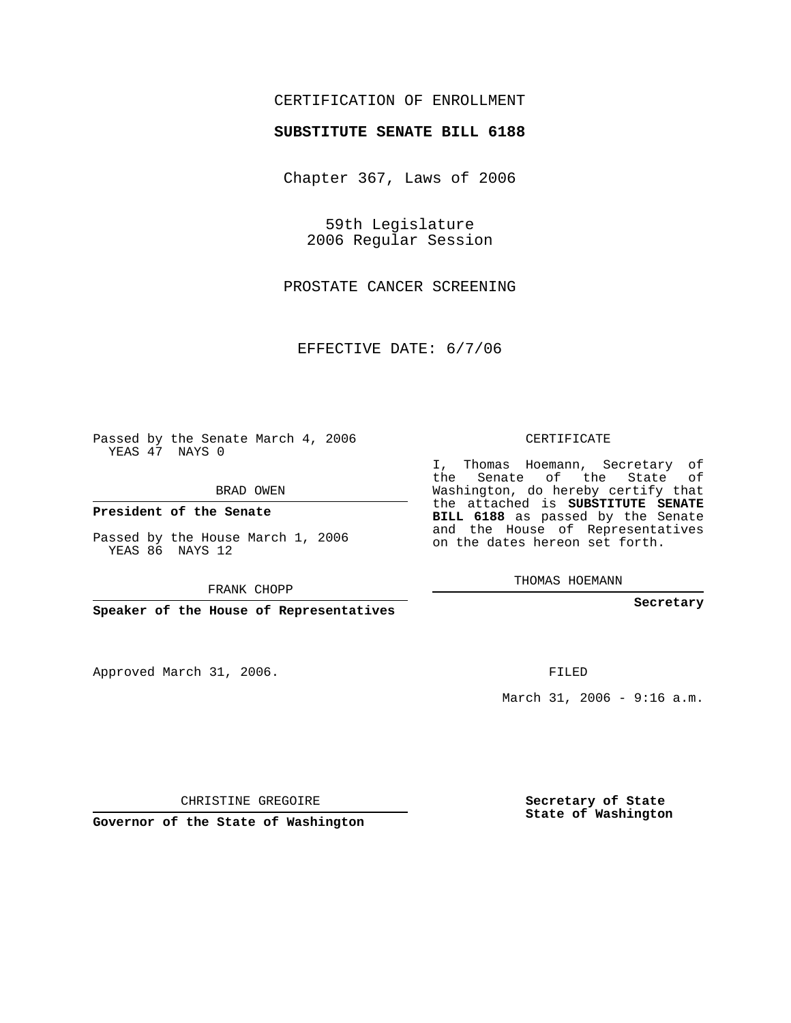## CERTIFICATION OF ENROLLMENT

## **SUBSTITUTE SENATE BILL 6188**

Chapter 367, Laws of 2006

59th Legislature 2006 Regular Session

PROSTATE CANCER SCREENING

EFFECTIVE DATE: 6/7/06

Passed by the Senate March 4, 2006 YEAS 47 NAYS 0

BRAD OWEN

**President of the Senate**

Passed by the House March 1, 2006 YEAS 86 NAYS 12

FRANK CHOPP

**Speaker of the House of Representatives**

Approved March 31, 2006.

CERTIFICATE

I, Thomas Hoemann, Secretary of the Senate of the State of Washington, do hereby certify that the attached is **SUBSTITUTE SENATE BILL 6188** as passed by the Senate and the House of Representatives on the dates hereon set forth.

THOMAS HOEMANN

**Secretary**

FILED

March 31, 2006 - 9:16 a.m.

CHRISTINE GREGOIRE

**Governor of the State of Washington**

**Secretary of State State of Washington**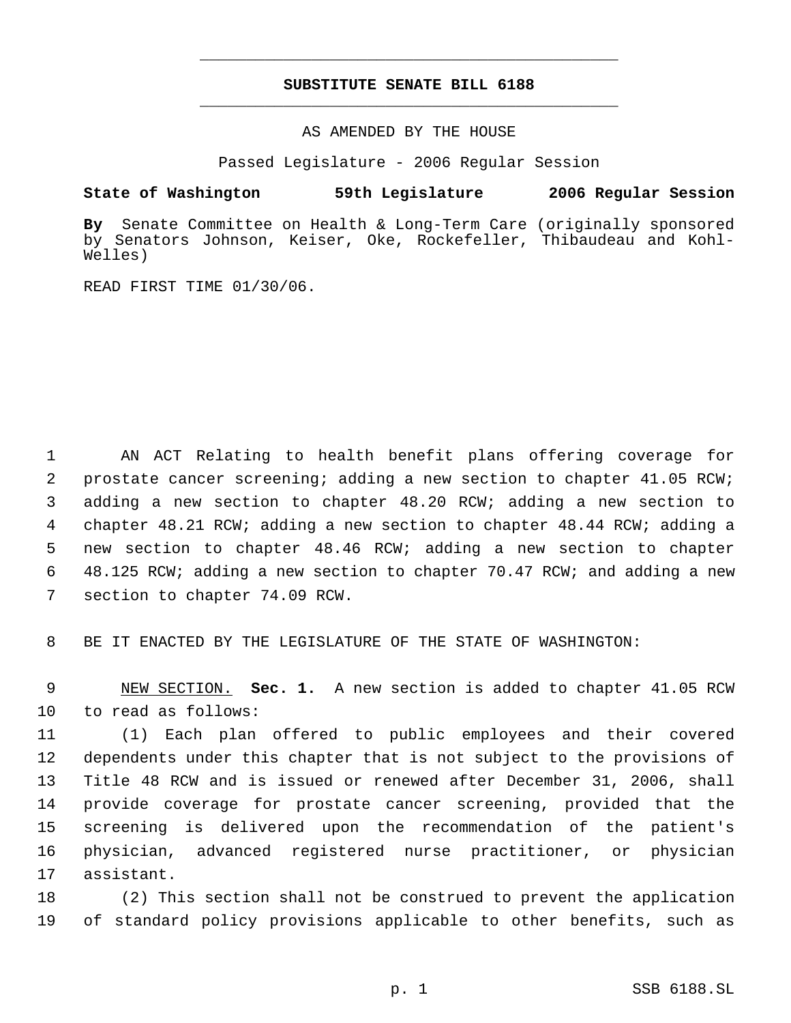## **SUBSTITUTE SENATE BILL 6188** \_\_\_\_\_\_\_\_\_\_\_\_\_\_\_\_\_\_\_\_\_\_\_\_\_\_\_\_\_\_\_\_\_\_\_\_\_\_\_\_\_\_\_\_\_

\_\_\_\_\_\_\_\_\_\_\_\_\_\_\_\_\_\_\_\_\_\_\_\_\_\_\_\_\_\_\_\_\_\_\_\_\_\_\_\_\_\_\_\_\_

AS AMENDED BY THE HOUSE

Passed Legislature - 2006 Regular Session

## **State of Washington 59th Legislature 2006 Regular Session**

**By** Senate Committee on Health & Long-Term Care (originally sponsored by Senators Johnson, Keiser, Oke, Rockefeller, Thibaudeau and Kohl-Welles)

READ FIRST TIME 01/30/06.

 AN ACT Relating to health benefit plans offering coverage for prostate cancer screening; adding a new section to chapter 41.05 RCW; adding a new section to chapter 48.20 RCW; adding a new section to chapter 48.21 RCW; adding a new section to chapter 48.44 RCW; adding a new section to chapter 48.46 RCW; adding a new section to chapter 48.125 RCW; adding a new section to chapter 70.47 RCW; and adding a new section to chapter 74.09 RCW.

BE IT ENACTED BY THE LEGISLATURE OF THE STATE OF WASHINGTON:

 NEW SECTION. **Sec. 1.** A new section is added to chapter 41.05 RCW to read as follows:

 (1) Each plan offered to public employees and their covered dependents under this chapter that is not subject to the provisions of Title 48 RCW and is issued or renewed after December 31, 2006, shall provide coverage for prostate cancer screening, provided that the screening is delivered upon the recommendation of the patient's physician, advanced registered nurse practitioner, or physician assistant.

 (2) This section shall not be construed to prevent the application of standard policy provisions applicable to other benefits, such as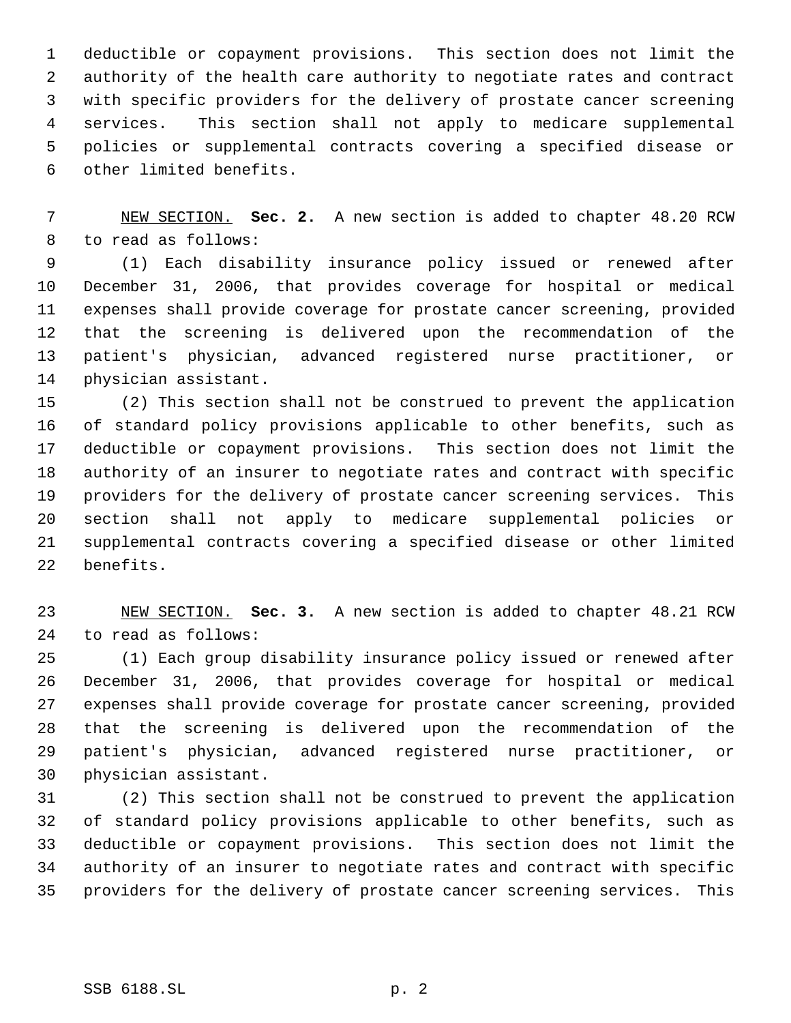deductible or copayment provisions. This section does not limit the authority of the health care authority to negotiate rates and contract with specific providers for the delivery of prostate cancer screening services. This section shall not apply to medicare supplemental policies or supplemental contracts covering a specified disease or other limited benefits.

 NEW SECTION. **Sec. 2.** A new section is added to chapter 48.20 RCW to read as follows:

 (1) Each disability insurance policy issued or renewed after December 31, 2006, that provides coverage for hospital or medical expenses shall provide coverage for prostate cancer screening, provided that the screening is delivered upon the recommendation of the patient's physician, advanced registered nurse practitioner, or physician assistant.

 (2) This section shall not be construed to prevent the application of standard policy provisions applicable to other benefits, such as deductible or copayment provisions. This section does not limit the authority of an insurer to negotiate rates and contract with specific providers for the delivery of prostate cancer screening services. This section shall not apply to medicare supplemental policies or supplemental contracts covering a specified disease or other limited benefits.

 NEW SECTION. **Sec. 3.** A new section is added to chapter 48.21 RCW to read as follows:

 (1) Each group disability insurance policy issued or renewed after December 31, 2006, that provides coverage for hospital or medical expenses shall provide coverage for prostate cancer screening, provided that the screening is delivered upon the recommendation of the patient's physician, advanced registered nurse practitioner, or physician assistant.

 (2) This section shall not be construed to prevent the application of standard policy provisions applicable to other benefits, such as deductible or copayment provisions. This section does not limit the authority of an insurer to negotiate rates and contract with specific providers for the delivery of prostate cancer screening services. This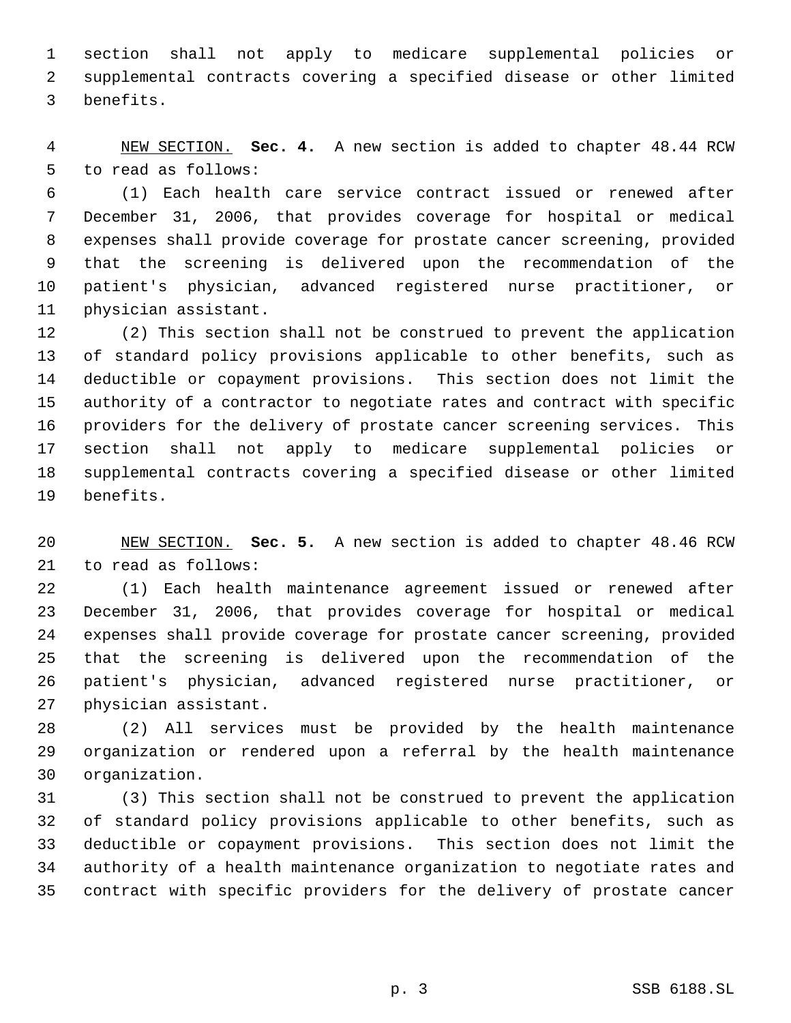section shall not apply to medicare supplemental policies or supplemental contracts covering a specified disease or other limited benefits.

 NEW SECTION. **Sec. 4.** A new section is added to chapter 48.44 RCW to read as follows:

 (1) Each health care service contract issued or renewed after December 31, 2006, that provides coverage for hospital or medical expenses shall provide coverage for prostate cancer screening, provided that the screening is delivered upon the recommendation of the patient's physician, advanced registered nurse practitioner, or physician assistant.

 (2) This section shall not be construed to prevent the application of standard policy provisions applicable to other benefits, such as deductible or copayment provisions. This section does not limit the authority of a contractor to negotiate rates and contract with specific providers for the delivery of prostate cancer screening services. This section shall not apply to medicare supplemental policies or supplemental contracts covering a specified disease or other limited benefits.

 NEW SECTION. **Sec. 5.** A new section is added to chapter 48.46 RCW to read as follows:

 (1) Each health maintenance agreement issued or renewed after December 31, 2006, that provides coverage for hospital or medical expenses shall provide coverage for prostate cancer screening, provided that the screening is delivered upon the recommendation of the patient's physician, advanced registered nurse practitioner, or physician assistant.

 (2) All services must be provided by the health maintenance organization or rendered upon a referral by the health maintenance organization.

 (3) This section shall not be construed to prevent the application of standard policy provisions applicable to other benefits, such as deductible or copayment provisions. This section does not limit the authority of a health maintenance organization to negotiate rates and contract with specific providers for the delivery of prostate cancer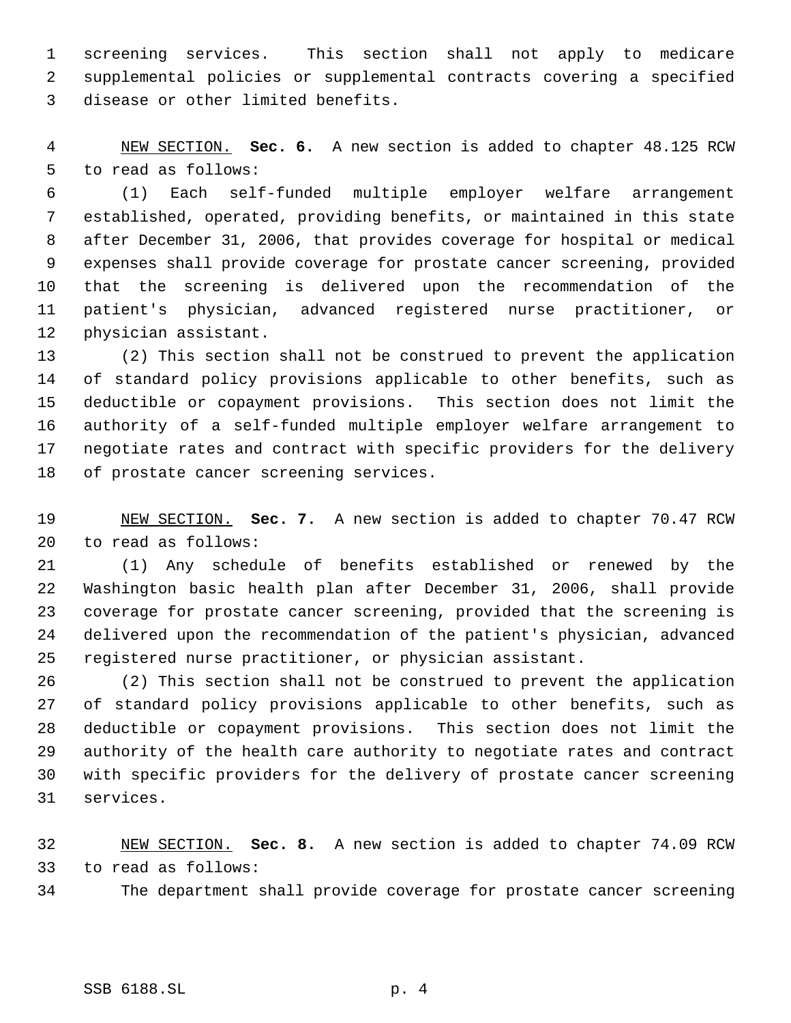screening services. This section shall not apply to medicare supplemental policies or supplemental contracts covering a specified disease or other limited benefits.

 NEW SECTION. **Sec. 6.** A new section is added to chapter 48.125 RCW to read as follows:

 (1) Each self-funded multiple employer welfare arrangement established, operated, providing benefits, or maintained in this state after December 31, 2006, that provides coverage for hospital or medical expenses shall provide coverage for prostate cancer screening, provided that the screening is delivered upon the recommendation of the patient's physician, advanced registered nurse practitioner, or physician assistant.

 (2) This section shall not be construed to prevent the application of standard policy provisions applicable to other benefits, such as deductible or copayment provisions. This section does not limit the authority of a self-funded multiple employer welfare arrangement to negotiate rates and contract with specific providers for the delivery of prostate cancer screening services.

 NEW SECTION. **Sec. 7.** A new section is added to chapter 70.47 RCW to read as follows:

 (1) Any schedule of benefits established or renewed by the Washington basic health plan after December 31, 2006, shall provide coverage for prostate cancer screening, provided that the screening is delivered upon the recommendation of the patient's physician, advanced registered nurse practitioner, or physician assistant.

 (2) This section shall not be construed to prevent the application of standard policy provisions applicable to other benefits, such as deductible or copayment provisions. This section does not limit the authority of the health care authority to negotiate rates and contract with specific providers for the delivery of prostate cancer screening services.

 NEW SECTION. **Sec. 8.** A new section is added to chapter 74.09 RCW to read as follows:

The department shall provide coverage for prostate cancer screening